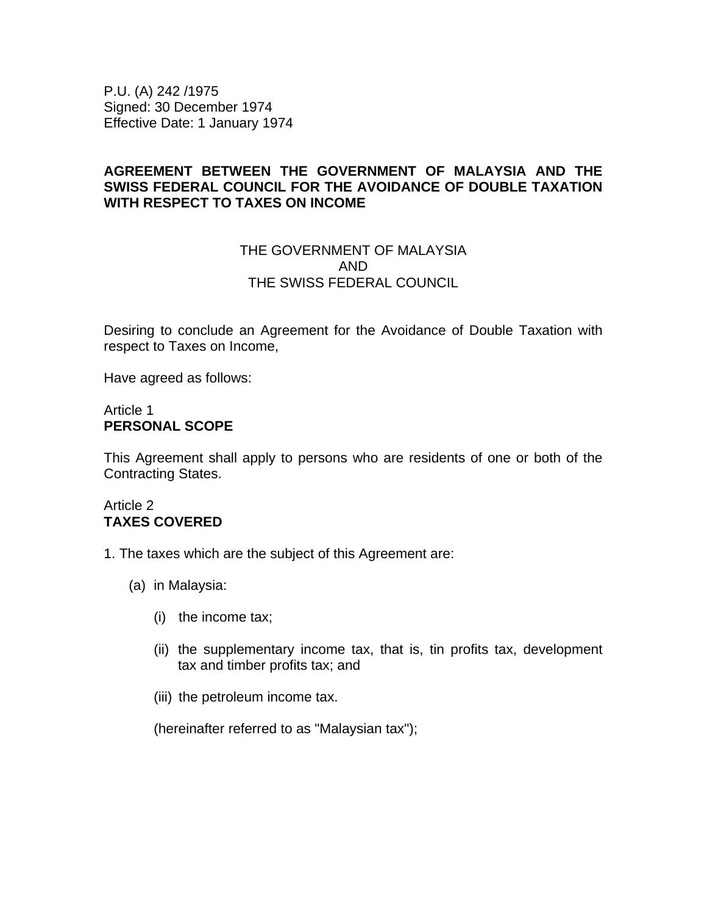P.U. (A) 242 /1975 Signed: 30 December 1974 Effective Date: 1 January 1974

# **AGREEMENT BETWEEN THE GOVERNMENT OF MALAYSIA AND THE SWISS FEDERAL COUNCIL FOR THE AVOIDANCE OF DOUBLE TAXATION WITH RESPECT TO TAXES ON INCOME**

# THE GOVERNMENT OF MALAYSIA AND THE SWISS FEDERAL COUNCIL

Desiring to conclude an Agreement for the Avoidance of Double Taxation with respect to Taxes on Income,

Have agreed as follows:

### Article 1 **PERSONAL SCOPE**

This Agreement shall apply to persons who are residents of one or both of the Contracting States.

# Article 2 **TAXES COVERED**

- 1. The taxes which are the subject of this Agreement are:
	- (a) in Malaysia:
		- (i) the income tax;
		- (ii) the supplementary income tax, that is, tin profits tax, development tax and timber profits tax; and
		- (iii) the petroleum income tax.

(hereinafter referred to as "Malaysian tax");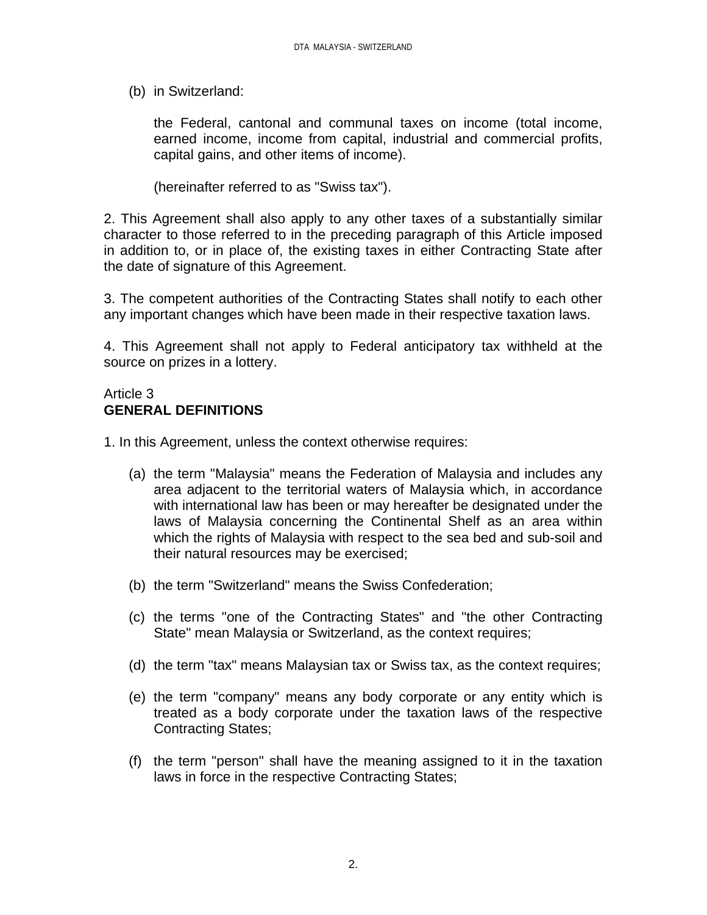(b) in Switzerland:

the Federal, cantonal and communal taxes on income (total income, earned income, income from capital, industrial and commercial profits, capital gains, and other items of income).

(hereinafter referred to as "Swiss tax").

2. This Agreement shall also apply to any other taxes of a substantially similar character to those referred to in the preceding paragraph of this Article imposed in addition to, or in place of, the existing taxes in either Contracting State after the date of signature of this Agreement.

3. The competent authorities of the Contracting States shall notify to each other any important changes which have been made in their respective taxation laws.

4. This Agreement shall not apply to Federal anticipatory tax withheld at the source on prizes in a lottery.

# Article 3 **GENERAL DEFINITIONS**

- 1. In this Agreement, unless the context otherwise requires:
	- (a) the term "Malaysia" means the Federation of Malaysia and includes any area adjacent to the territorial waters of Malaysia which, in accordance with international law has been or may hereafter be designated under the laws of Malaysia concerning the Continental Shelf as an area within which the rights of Malaysia with respect to the sea bed and sub-soil and their natural resources may be exercised;
	- (b) the term "Switzerland" means the Swiss Confederation;
	- (c) the terms "one of the Contracting States" and "the other Contracting State" mean Malaysia or Switzerland, as the context requires;
	- (d) the term "tax" means Malaysian tax or Swiss tax, as the context requires;
	- (e) the term "company" means any body corporate or any entity which is treated as a body corporate under the taxation laws of the respective Contracting States;
	- (f) the term "person" shall have the meaning assigned to it in the taxation laws in force in the respective Contracting States;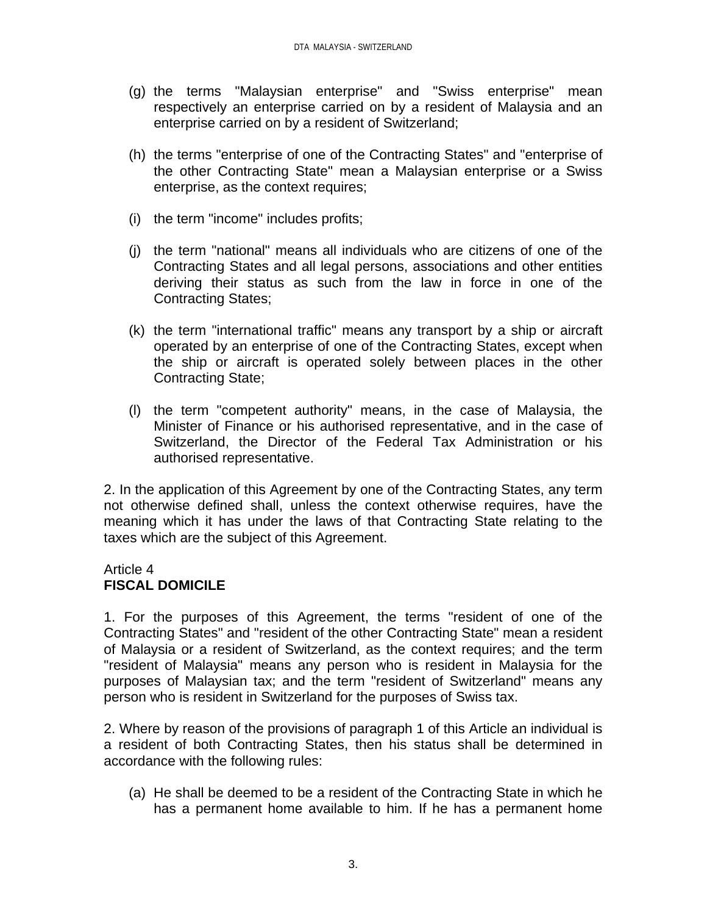- (g) the terms "Malaysian enterprise" and "Swiss enterprise" mean respectively an enterprise carried on by a resident of Malaysia and an enterprise carried on by a resident of Switzerland;
- (h) the terms "enterprise of one of the Contracting States" and "enterprise of the other Contracting State" mean a Malaysian enterprise or a Swiss enterprise, as the context requires;
- (i) the term "income" includes profits;
- (j) the term "national" means all individuals who are citizens of one of the Contracting States and all legal persons, associations and other entities deriving their status as such from the law in force in one of the Contracting States;
- (k) the term "international traffic" means any transport by a ship or aircraft operated by an enterprise of one of the Contracting States, except when the ship or aircraft is operated solely between places in the other Contracting State;
- (l) the term "competent authority" means, in the case of Malaysia, the Minister of Finance or his authorised representative, and in the case of Switzerland, the Director of the Federal Tax Administration or his authorised representative.

2. In the application of this Agreement by one of the Contracting States, any term not otherwise defined shall, unless the context otherwise requires, have the meaning which it has under the laws of that Contracting State relating to the taxes which are the subject of this Agreement.

# Article 4 **FISCAL DOMICILE**

1. For the purposes of this Agreement, the terms "resident of one of the Contracting States" and "resident of the other Contracting State" mean a resident of Malaysia or a resident of Switzerland, as the context requires; and the term "resident of Malaysia" means any person who is resident in Malaysia for the purposes of Malaysian tax; and the term "resident of Switzerland" means any person who is resident in Switzerland for the purposes of Swiss tax.

2. Where by reason of the provisions of paragraph 1 of this Article an individual is a resident of both Contracting States, then his status shall be determined in accordance with the following rules:

(a) He shall be deemed to be a resident of the Contracting State in which he has a permanent home available to him. If he has a permanent home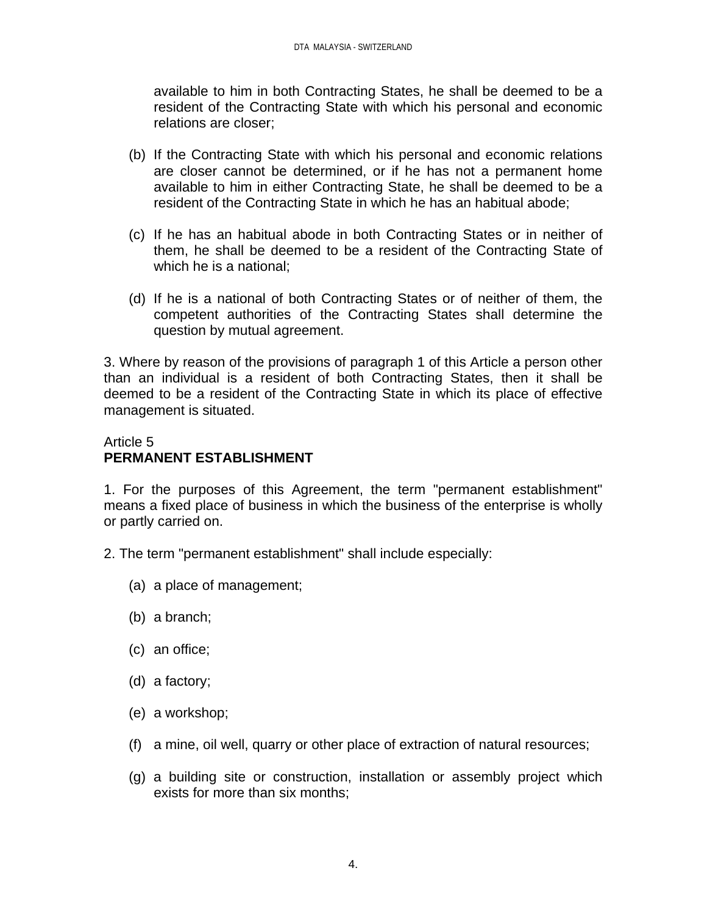available to him in both Contracting States, he shall be deemed to be a resident of the Contracting State with which his personal and economic relations are closer;

- (b) If the Contracting State with which his personal and economic relations are closer cannot be determined, or if he has not a permanent home available to him in either Contracting State, he shall be deemed to be a resident of the Contracting State in which he has an habitual abode;
- (c) If he has an habitual abode in both Contracting States or in neither of them, he shall be deemed to be a resident of the Contracting State of which he is a national;
- (d) If he is a national of both Contracting States or of neither of them, the competent authorities of the Contracting States shall determine the question by mutual agreement.

3. Where by reason of the provisions of paragraph 1 of this Article a person other than an individual is a resident of both Contracting States, then it shall be deemed to be a resident of the Contracting State in which its place of effective management is situated.

# Article 5 **PERMANENT ESTABLISHMENT**

1. For the purposes of this Agreement, the term "permanent establishment" means a fixed place of business in which the business of the enterprise is wholly or partly carried on.

- 2. The term "permanent establishment" shall include especially:
	- (a) a place of management;
	- (b) a branch;
	- (c) an office;
	- (d) a factory;
	- (e) a workshop;
	- (f) a mine, oil well, quarry or other place of extraction of natural resources;
	- (g) a building site or construction, installation or assembly project which exists for more than six months;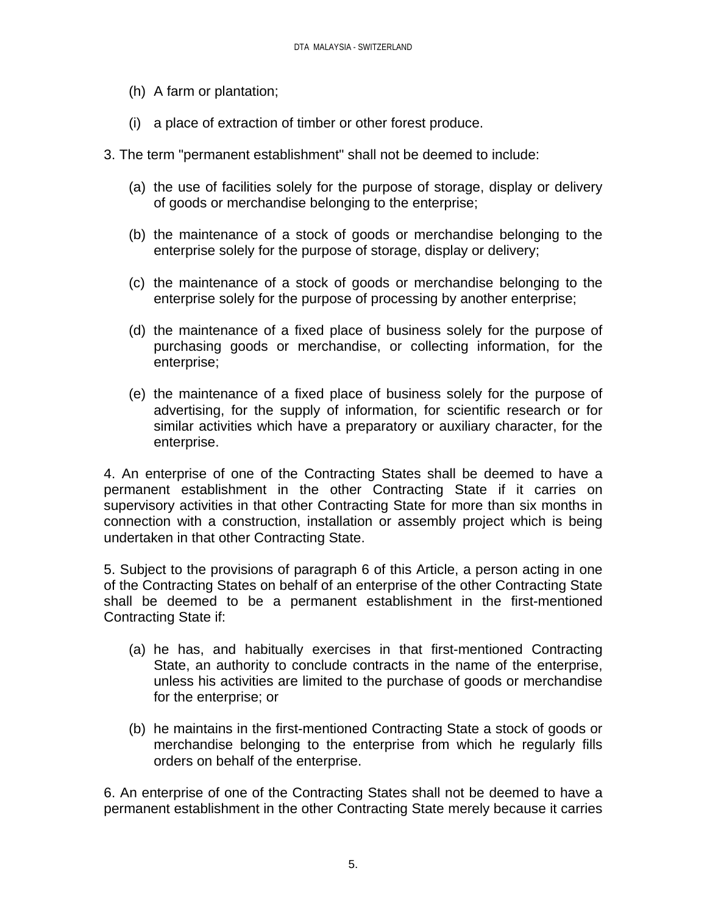- (h) A farm or plantation;
- (i) a place of extraction of timber or other forest produce.
- 3. The term "permanent establishment" shall not be deemed to include:
	- (a) the use of facilities solely for the purpose of storage, display or delivery of goods or merchandise belonging to the enterprise;
	- (b) the maintenance of a stock of goods or merchandise belonging to the enterprise solely for the purpose of storage, display or delivery;
	- (c) the maintenance of a stock of goods or merchandise belonging to the enterprise solely for the purpose of processing by another enterprise;
	- (d) the maintenance of a fixed place of business solely for the purpose of purchasing goods or merchandise, or collecting information, for the enterprise;
	- (e) the maintenance of a fixed place of business solely for the purpose of advertising, for the supply of information, for scientific research or for similar activities which have a preparatory or auxiliary character, for the enterprise.

4. An enterprise of one of the Contracting States shall be deemed to have a permanent establishment in the other Contracting State if it carries on supervisory activities in that other Contracting State for more than six months in connection with a construction, installation or assembly project which is being undertaken in that other Contracting State.

5. Subject to the provisions of paragraph 6 of this Article, a person acting in one of the Contracting States on behalf of an enterprise of the other Contracting State shall be deemed to be a permanent establishment in the first-mentioned Contracting State if:

- (a) he has, and habitually exercises in that first-mentioned Contracting State, an authority to conclude contracts in the name of the enterprise, unless his activities are limited to the purchase of goods or merchandise for the enterprise; or
- (b) he maintains in the first-mentioned Contracting State a stock of goods or merchandise belonging to the enterprise from which he regularly fills orders on behalf of the enterprise.

6. An enterprise of one of the Contracting States shall not be deemed to have a permanent establishment in the other Contracting State merely because it carries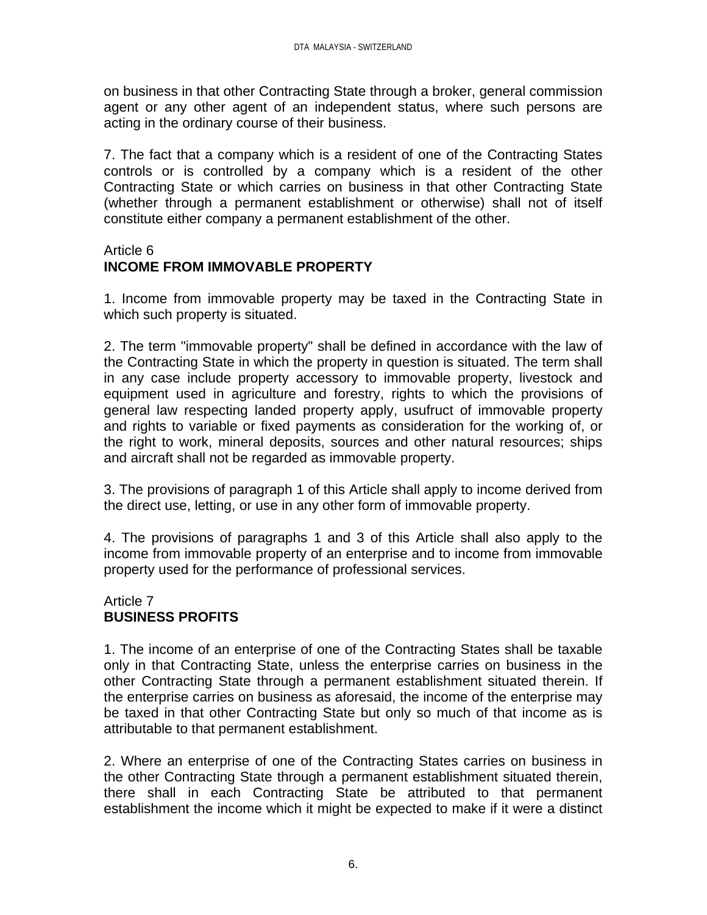on business in that other Contracting State through a broker, general commission agent or any other agent of an independent status, where such persons are acting in the ordinary course of their business.

7. The fact that a company which is a resident of one of the Contracting States controls or is controlled by a company which is a resident of the other Contracting State or which carries on business in that other Contracting State (whether through a permanent establishment or otherwise) shall not of itself constitute either company a permanent establishment of the other.

### Article 6 **INCOME FROM IMMOVABLE PROPERTY**

1. Income from immovable property may be taxed in the Contracting State in which such property is situated.

2. The term "immovable property" shall be defined in accordance with the law of the Contracting State in which the property in question is situated. The term shall in any case include property accessory to immovable property, livestock and equipment used in agriculture and forestry, rights to which the provisions of general law respecting landed property apply, usufruct of immovable property and rights to variable or fixed payments as consideration for the working of, or the right to work, mineral deposits, sources and other natural resources; ships and aircraft shall not be regarded as immovable property.

3. The provisions of paragraph 1 of this Article shall apply to income derived from the direct use, letting, or use in any other form of immovable property.

4. The provisions of paragraphs 1 and 3 of this Article shall also apply to the income from immovable property of an enterprise and to income from immovable property used for the performance of professional services.

# Article 7 **BUSINESS PROFITS**

1. The income of an enterprise of one of the Contracting States shall be taxable only in that Contracting State, unless the enterprise carries on business in the other Contracting State through a permanent establishment situated therein. If the enterprise carries on business as aforesaid, the income of the enterprise may be taxed in that other Contracting State but only so much of that income as is attributable to that permanent establishment.

2. Where an enterprise of one of the Contracting States carries on business in the other Contracting State through a permanent establishment situated therein, there shall in each Contracting State be attributed to that permanent establishment the income which it might be expected to make if it were a distinct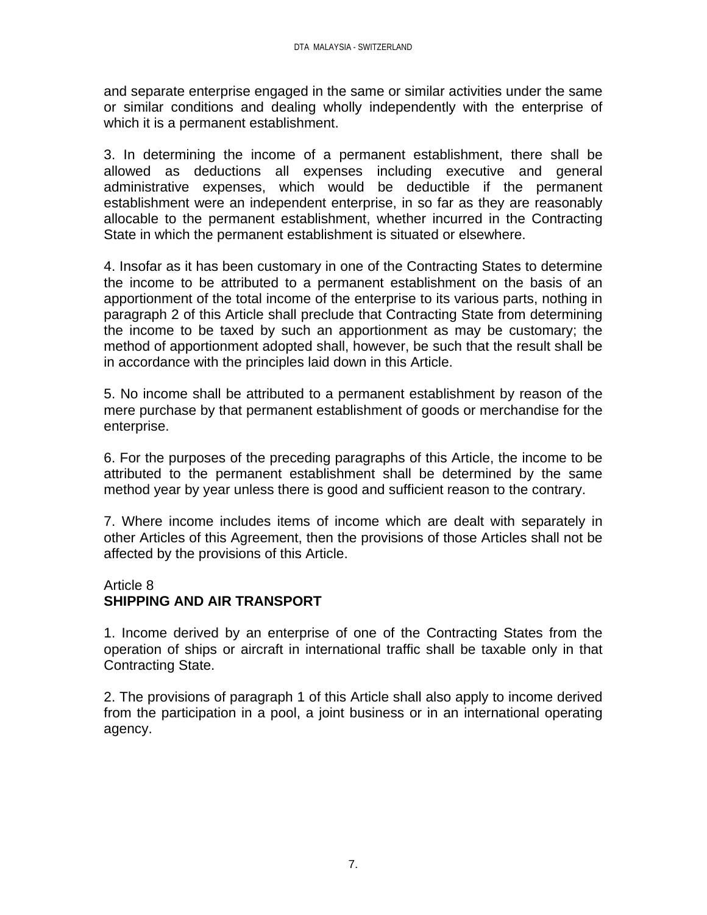and separate enterprise engaged in the same or similar activities under the same or similar conditions and dealing wholly independently with the enterprise of which it is a permanent establishment.

3. In determining the income of a permanent establishment, there shall be allowed as deductions all expenses including executive and general administrative expenses, which would be deductible if the permanent establishment were an independent enterprise, in so far as they are reasonably allocable to the permanent establishment, whether incurred in the Contracting State in which the permanent establishment is situated or elsewhere.

4. Insofar as it has been customary in one of the Contracting States to determine the income to be attributed to a permanent establishment on the basis of an apportionment of the total income of the enterprise to its various parts, nothing in paragraph 2 of this Article shall preclude that Contracting State from determining the income to be taxed by such an apportionment as may be customary; the method of apportionment adopted shall, however, be such that the result shall be in accordance with the principles laid down in this Article.

5. No income shall be attributed to a permanent establishment by reason of the mere purchase by that permanent establishment of goods or merchandise for the enterprise.

6. For the purposes of the preceding paragraphs of this Article, the income to be attributed to the permanent establishment shall be determined by the same method year by year unless there is good and sufficient reason to the contrary.

7. Where income includes items of income which are dealt with separately in other Articles of this Agreement, then the provisions of those Articles shall not be affected by the provisions of this Article.

# Article 8

# **SHIPPING AND AIR TRANSPORT**

1. Income derived by an enterprise of one of the Contracting States from the operation of ships or aircraft in international traffic shall be taxable only in that Contracting State.

2. The provisions of paragraph 1 of this Article shall also apply to income derived from the participation in a pool, a joint business or in an international operating agency.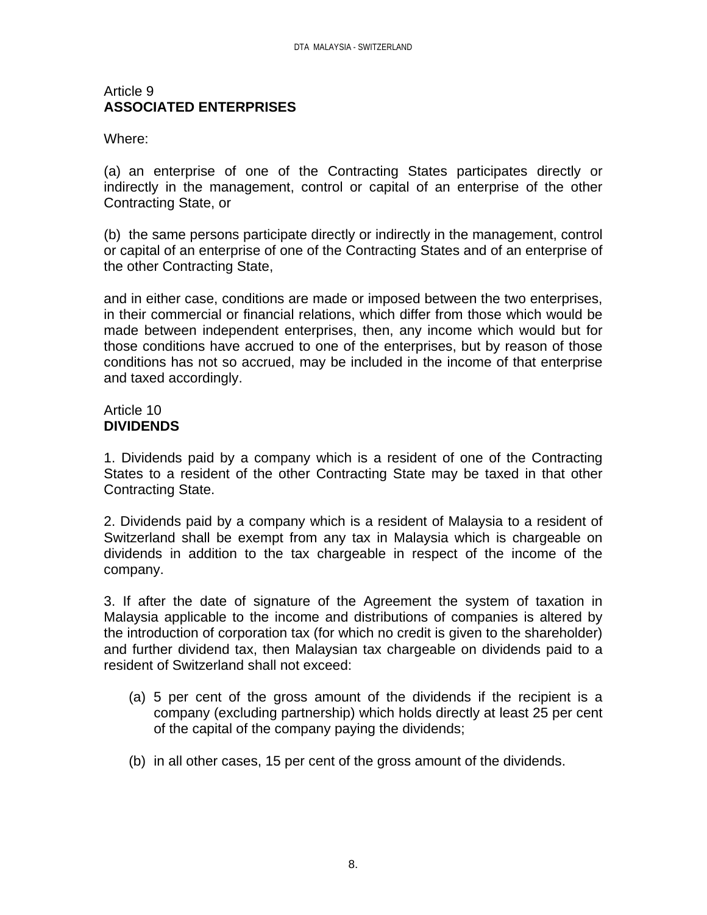#### Article 9 **ASSOCIATED ENTERPRISES**

#### Where:

(a) an enterprise of one of the Contracting States participates directly or indirectly in the management, control or capital of an enterprise of the other Contracting State, or

(b) the same persons participate directly or indirectly in the management, control or capital of an enterprise of one of the Contracting States and of an enterprise of the other Contracting State,

and in either case, conditions are made or imposed between the two enterprises, in their commercial or financial relations, which differ from those which would be made between independent enterprises, then, any income which would but for those conditions have accrued to one of the enterprises, but by reason of those conditions has not so accrued, may be included in the income of that enterprise and taxed accordingly.

#### Article 10 **DIVIDENDS**

1. Dividends paid by a company which is a resident of one of the Contracting States to a resident of the other Contracting State may be taxed in that other Contracting State.

2. Dividends paid by a company which is a resident of Malaysia to a resident of Switzerland shall be exempt from any tax in Malaysia which is chargeable on dividends in addition to the tax chargeable in respect of the income of the company.

3. If after the date of signature of the Agreement the system of taxation in Malaysia applicable to the income and distributions of companies is altered by the introduction of corporation tax (for which no credit is given to the shareholder) and further dividend tax, then Malaysian tax chargeable on dividends paid to a resident of Switzerland shall not exceed:

- (a) 5 per cent of the gross amount of the dividends if the recipient is a company (excluding partnership) which holds directly at least 25 per cent of the capital of the company paying the dividends;
- (b) in all other cases, 15 per cent of the gross amount of the dividends.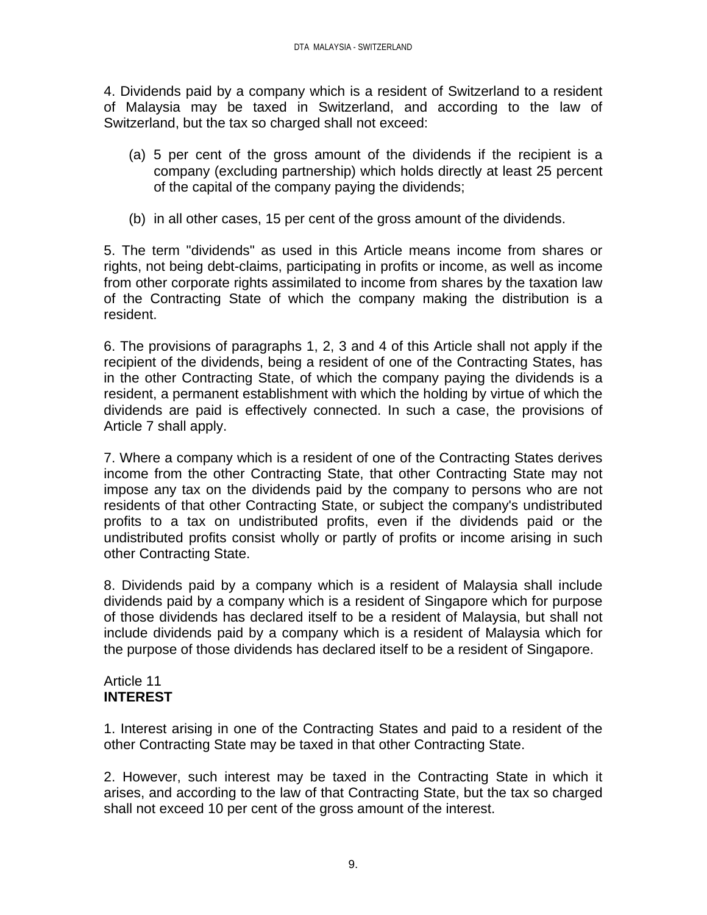4. Dividends paid by a company which is a resident of Switzerland to a resident of Malaysia may be taxed in Switzerland, and according to the law of Switzerland, but the tax so charged shall not exceed:

- (a) 5 per cent of the gross amount of the dividends if the recipient is a company (excluding partnership) which holds directly at least 25 percent of the capital of the company paying the dividends;
- (b) in all other cases, 15 per cent of the gross amount of the dividends.

5. The term "dividends" as used in this Article means income from shares or rights, not being debt-claims, participating in profits or income, as well as income from other corporate rights assimilated to income from shares by the taxation law of the Contracting State of which the company making the distribution is a resident.

6. The provisions of paragraphs 1, 2, 3 and 4 of this Article shall not apply if the recipient of the dividends, being a resident of one of the Contracting States, has in the other Contracting State, of which the company paying the dividends is a resident, a permanent establishment with which the holding by virtue of which the dividends are paid is effectively connected. In such a case, the provisions of Article 7 shall apply.

7. Where a company which is a resident of one of the Contracting States derives income from the other Contracting State, that other Contracting State may not impose any tax on the dividends paid by the company to persons who are not residents of that other Contracting State, or subject the company's undistributed profits to a tax on undistributed profits, even if the dividends paid or the undistributed profits consist wholly or partly of profits or income arising in such other Contracting State.

8. Dividends paid by a company which is a resident of Malaysia shall include dividends paid by a company which is a resident of Singapore which for purpose of those dividends has declared itself to be a resident of Malaysia, but shall not include dividends paid by a company which is a resident of Malaysia which for the purpose of those dividends has declared itself to be a resident of Singapore.

# Article 11 **INTEREST**

1. Interest arising in one of the Contracting States and paid to a resident of the other Contracting State may be taxed in that other Contracting State.

2. However, such interest may be taxed in the Contracting State in which it arises, and according to the law of that Contracting State, but the tax so charged shall not exceed 10 per cent of the gross amount of the interest.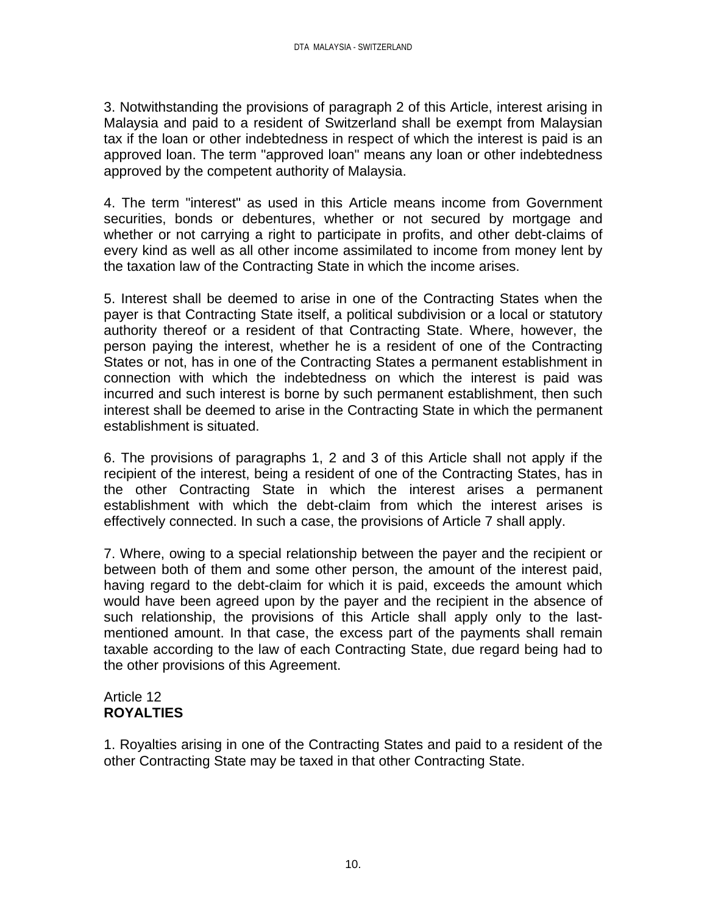3. Notwithstanding the provisions of paragraph 2 of this Article, interest arising in Malaysia and paid to a resident of Switzerland shall be exempt from Malaysian tax if the loan or other indebtedness in respect of which the interest is paid is an approved loan. The term "approved loan" means any loan or other indebtedness approved by the competent authority of Malaysia.

4. The term "interest" as used in this Article means income from Government securities, bonds or debentures, whether or not secured by mortgage and whether or not carrying a right to participate in profits, and other debt-claims of every kind as well as all other income assimilated to income from money lent by the taxation law of the Contracting State in which the income arises.

5. Interest shall be deemed to arise in one of the Contracting States when the payer is that Contracting State itself, a political subdivision or a local or statutory authority thereof or a resident of that Contracting State. Where, however, the person paying the interest, whether he is a resident of one of the Contracting States or not, has in one of the Contracting States a permanent establishment in connection with which the indebtedness on which the interest is paid was incurred and such interest is borne by such permanent establishment, then such interest shall be deemed to arise in the Contracting State in which the permanent establishment is situated.

6. The provisions of paragraphs 1, 2 and 3 of this Article shall not apply if the recipient of the interest, being a resident of one of the Contracting States, has in the other Contracting State in which the interest arises a permanent establishment with which the debt-claim from which the interest arises is effectively connected. In such a case, the provisions of Article 7 shall apply.

7. Where, owing to a special relationship between the payer and the recipient or between both of them and some other person, the amount of the interest paid, having regard to the debt-claim for which it is paid, exceeds the amount which would have been agreed upon by the payer and the recipient in the absence of such relationship, the provisions of this Article shall apply only to the lastmentioned amount. In that case, the excess part of the payments shall remain taxable according to the law of each Contracting State, due regard being had to the other provisions of this Agreement.

# Article 12 **ROYALTIES**

1. Royalties arising in one of the Contracting States and paid to a resident of the other Contracting State may be taxed in that other Contracting State.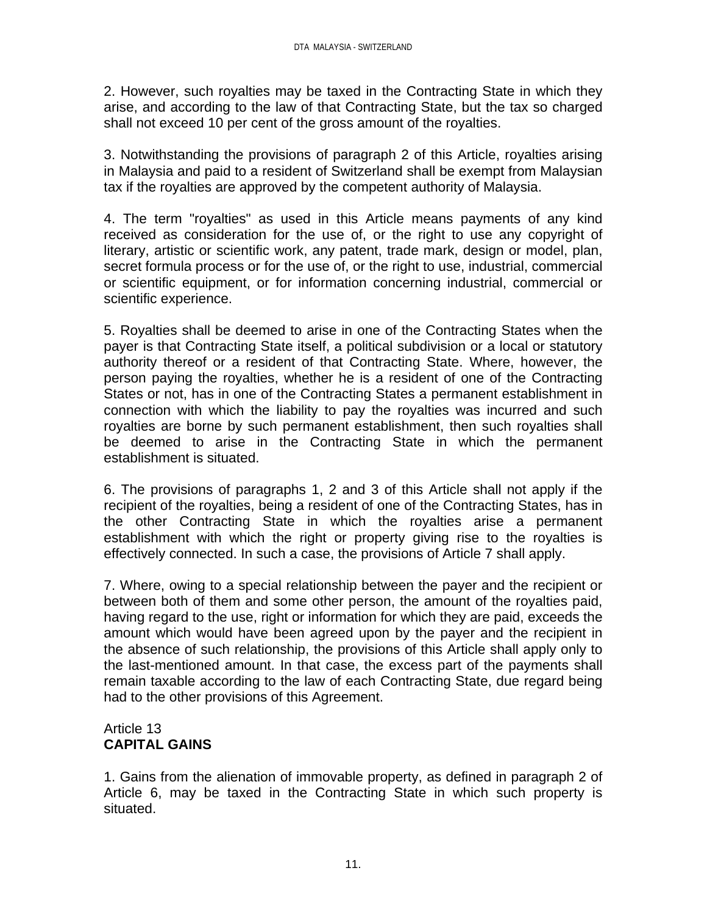2. However, such royalties may be taxed in the Contracting State in which they arise, and according to the law of that Contracting State, but the tax so charged shall not exceed 10 per cent of the gross amount of the royalties.

3. Notwithstanding the provisions of paragraph 2 of this Article, royalties arising in Malaysia and paid to a resident of Switzerland shall be exempt from Malaysian tax if the royalties are approved by the competent authority of Malaysia.

4. The term "royalties" as used in this Article means payments of any kind received as consideration for the use of, or the right to use any copyright of literary, artistic or scientific work, any patent, trade mark, design or model, plan, secret formula process or for the use of, or the right to use, industrial, commercial or scientific equipment, or for information concerning industrial, commercial or scientific experience.

5. Royalties shall be deemed to arise in one of the Contracting States when the payer is that Contracting State itself, a political subdivision or a local or statutory authority thereof or a resident of that Contracting State. Where, however, the person paying the royalties, whether he is a resident of one of the Contracting States or not, has in one of the Contracting States a permanent establishment in connection with which the liability to pay the royalties was incurred and such royalties are borne by such permanent establishment, then such royalties shall be deemed to arise in the Contracting State in which the permanent establishment is situated.

6. The provisions of paragraphs 1, 2 and 3 of this Article shall not apply if the recipient of the royalties, being a resident of one of the Contracting States, has in the other Contracting State in which the royalties arise a permanent establishment with which the right or property giving rise to the royalties is effectively connected. In such a case, the provisions of Article 7 shall apply.

7. Where, owing to a special relationship between the payer and the recipient or between both of them and some other person, the amount of the royalties paid, having regard to the use, right or information for which they are paid, exceeds the amount which would have been agreed upon by the payer and the recipient in the absence of such relationship, the provisions of this Article shall apply only to the last-mentioned amount. In that case, the excess part of the payments shall remain taxable according to the law of each Contracting State, due regard being had to the other provisions of this Agreement.

# Article 13 **CAPITAL GAINS**

1. Gains from the alienation of immovable property, as defined in paragraph 2 of Article 6, may be taxed in the Contracting State in which such property is situated.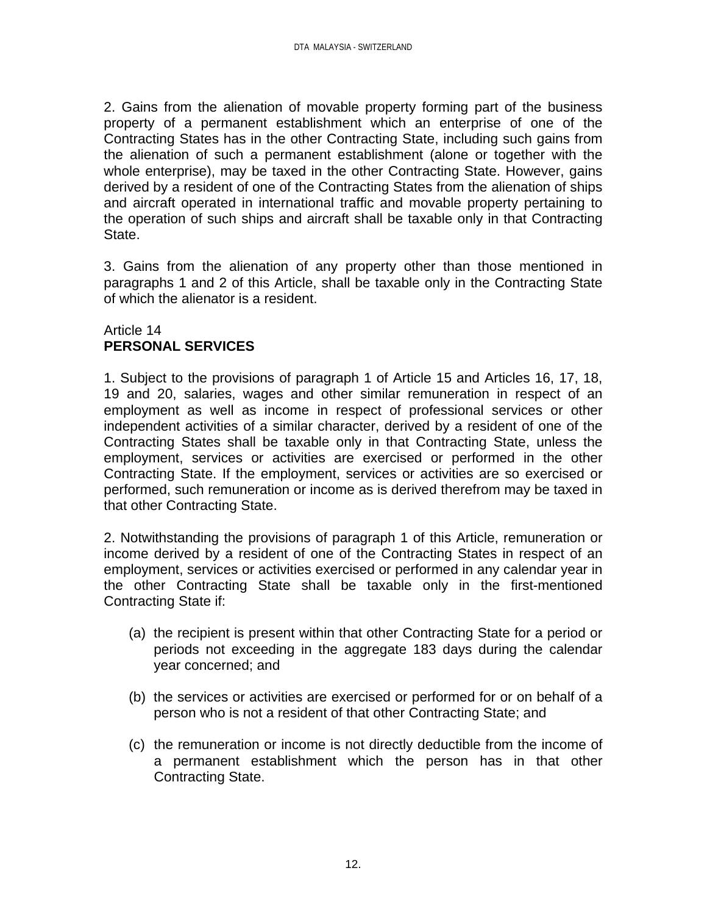2. Gains from the alienation of movable property forming part of the business property of a permanent establishment which an enterprise of one of the Contracting States has in the other Contracting State, including such gains from the alienation of such a permanent establishment (alone or together with the whole enterprise), may be taxed in the other Contracting State. However, gains derived by a resident of one of the Contracting States from the alienation of ships and aircraft operated in international traffic and movable property pertaining to the operation of such ships and aircraft shall be taxable only in that Contracting State.

3. Gains from the alienation of any property other than those mentioned in paragraphs 1 and 2 of this Article, shall be taxable only in the Contracting State of which the alienator is a resident.

# Article 14 **PERSONAL SERVICES**

1. Subject to the provisions of paragraph 1 of Article 15 and Articles 16, 17, 18, 19 and 20, salaries, wages and other similar remuneration in respect of an employment as well as income in respect of professional services or other independent activities of a similar character, derived by a resident of one of the Contracting States shall be taxable only in that Contracting State, unless the employment, services or activities are exercised or performed in the other Contracting State. If the employment, services or activities are so exercised or performed, such remuneration or income as is derived therefrom may be taxed in that other Contracting State.

2. Notwithstanding the provisions of paragraph 1 of this Article, remuneration or income derived by a resident of one of the Contracting States in respect of an employment, services or activities exercised or performed in any calendar year in the other Contracting State shall be taxable only in the first-mentioned Contracting State if:

- (a) the recipient is present within that other Contracting State for a period or periods not exceeding in the aggregate 183 days during the calendar year concerned; and
- (b) the services or activities are exercised or performed for or on behalf of a person who is not a resident of that other Contracting State; and
- (c) the remuneration or income is not directly deductible from the income of a permanent establishment which the person has in that other Contracting State.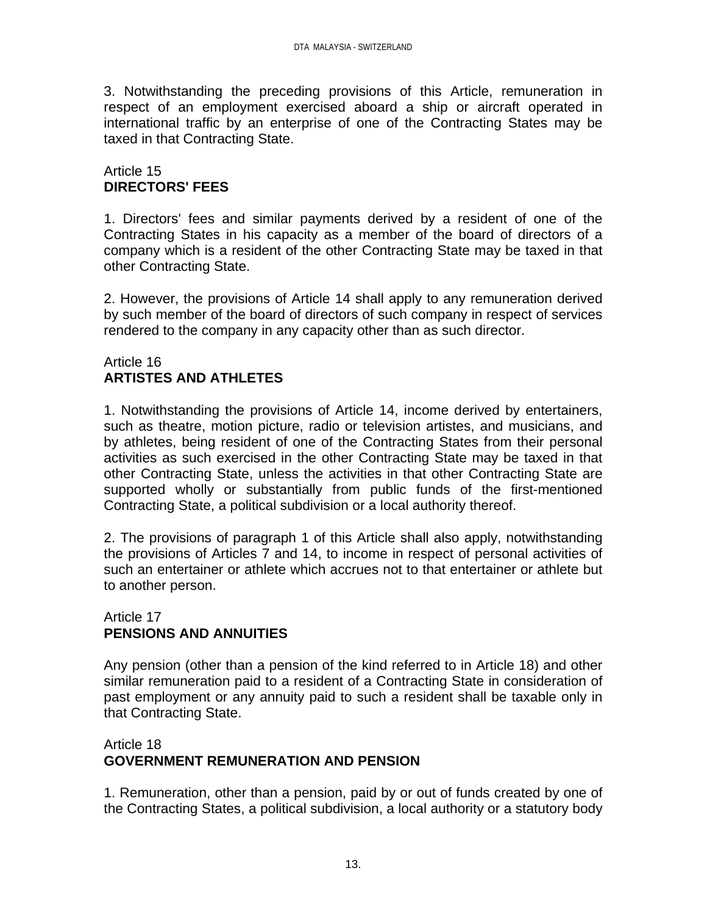3. Notwithstanding the preceding provisions of this Article, remuneration in respect of an employment exercised aboard a ship or aircraft operated in international traffic by an enterprise of one of the Contracting States may be taxed in that Contracting State.

### Article 15 **DIRECTORS' FEES**

1. Directors' fees and similar payments derived by a resident of one of the Contracting States in his capacity as a member of the board of directors of a company which is a resident of the other Contracting State may be taxed in that other Contracting State.

2. However, the provisions of Article 14 shall apply to any remuneration derived by such member of the board of directors of such company in respect of services rendered to the company in any capacity other than as such director.

# Article 16 **ARTISTES AND ATHLETES**

1. Notwithstanding the provisions of Article 14, income derived by entertainers, such as theatre, motion picture, radio or television artistes, and musicians, and by athletes, being resident of one of the Contracting States from their personal activities as such exercised in the other Contracting State may be taxed in that other Contracting State, unless the activities in that other Contracting State are supported wholly or substantially from public funds of the first-mentioned Contracting State, a political subdivision or a local authority thereof.

2. The provisions of paragraph 1 of this Article shall also apply, notwithstanding the provisions of Articles 7 and 14, to income in respect of personal activities of such an entertainer or athlete which accrues not to that entertainer or athlete but to another person.

#### Article 17 **PENSIONS AND ANNUITIES**

Any pension (other than a pension of the kind referred to in Article 18) and other similar remuneration paid to a resident of a Contracting State in consideration of past employment or any annuity paid to such a resident shall be taxable only in that Contracting State.

# Article 18 **GOVERNMENT REMUNERATION AND PENSION**

1. Remuneration, other than a pension, paid by or out of funds created by one of the Contracting States, a political subdivision, a local authority or a statutory body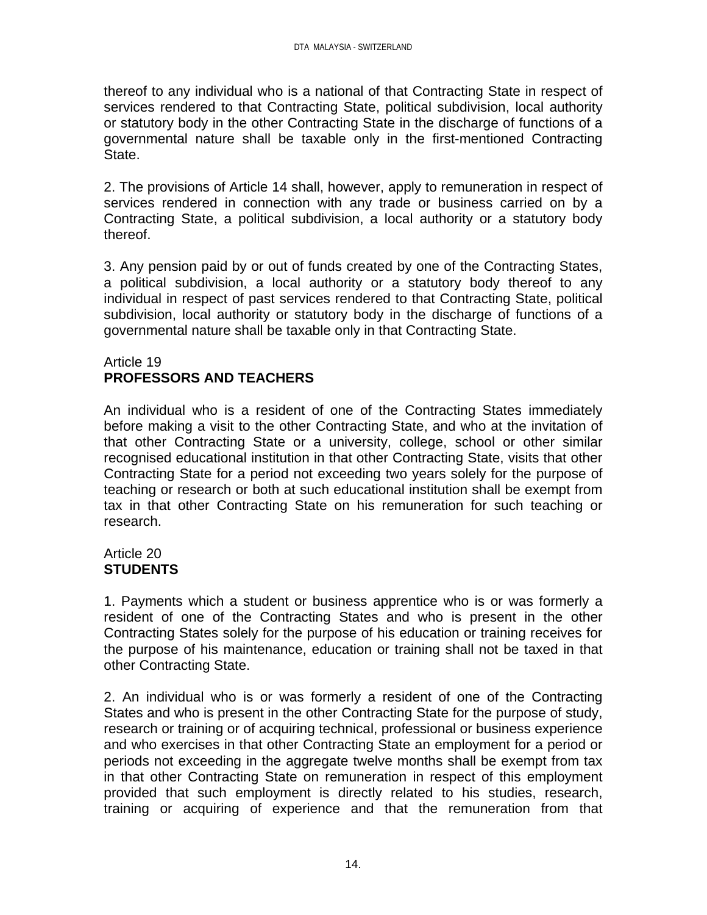thereof to any individual who is a national of that Contracting State in respect of services rendered to that Contracting State, political subdivision, local authority or statutory body in the other Contracting State in the discharge of functions of a governmental nature shall be taxable only in the first-mentioned Contracting State.

2. The provisions of Article 14 shall, however, apply to remuneration in respect of services rendered in connection with any trade or business carried on by a Contracting State, a political subdivision, a local authority or a statutory body thereof.

3. Any pension paid by or out of funds created by one of the Contracting States, a political subdivision, a local authority or a statutory body thereof to any individual in respect of past services rendered to that Contracting State, political subdivision, local authority or statutory body in the discharge of functions of a governmental nature shall be taxable only in that Contracting State.

#### Article 19 **PROFESSORS AND TEACHERS**

An individual who is a resident of one of the Contracting States immediately before making a visit to the other Contracting State, and who at the invitation of that other Contracting State or a university, college, school or other similar recognised educational institution in that other Contracting State, visits that other Contracting State for a period not exceeding two years solely for the purpose of teaching or research or both at such educational institution shall be exempt from tax in that other Contracting State on his remuneration for such teaching or research.

#### Article 20 **STUDENTS**

1. Payments which a student or business apprentice who is or was formerly a resident of one of the Contracting States and who is present in the other Contracting States solely for the purpose of his education or training receives for the purpose of his maintenance, education or training shall not be taxed in that other Contracting State.

2. An individual who is or was formerly a resident of one of the Contracting States and who is present in the other Contracting State for the purpose of study, research or training or of acquiring technical, professional or business experience and who exercises in that other Contracting State an employment for a period or periods not exceeding in the aggregate twelve months shall be exempt from tax in that other Contracting State on remuneration in respect of this employment provided that such employment is directly related to his studies, research, training or acquiring of experience and that the remuneration from that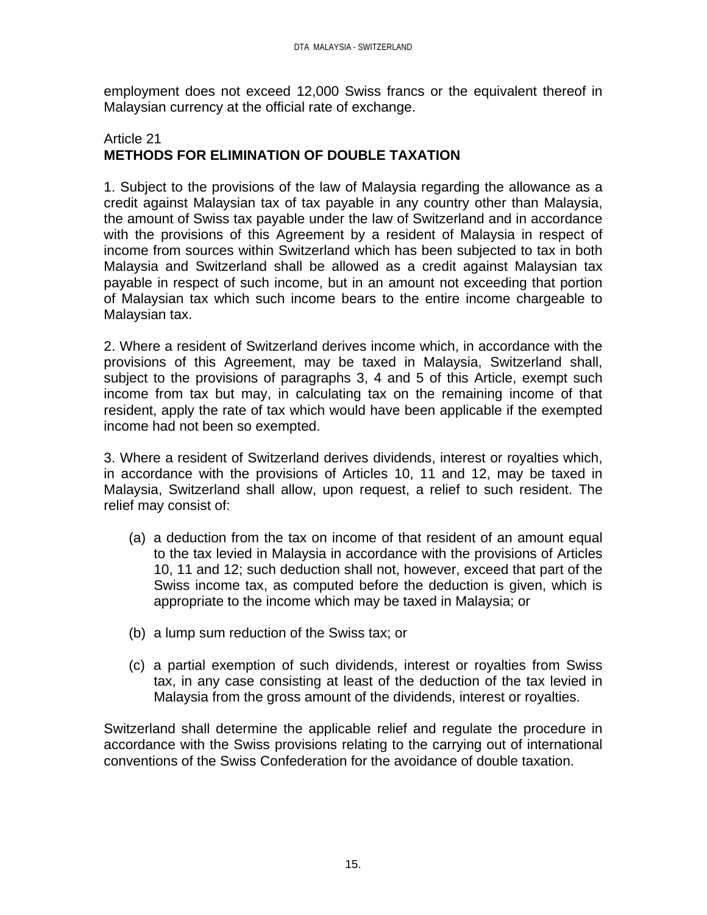employment does not exceed 12,000 Swiss francs or the equivalent thereof in Malaysian currency at the official rate of exchange.

# Article 21 **METHODS FOR ELIMINATION OF DOUBLE TAXATION**

1. Subject to the provisions of the law of Malaysia regarding the allowance as a credit against Malaysian tax of tax payable in any country other than Malaysia, the amount of Swiss tax payable under the law of Switzerland and in accordance with the provisions of this Agreement by a resident of Malaysia in respect of income from sources within Switzerland which has been subjected to tax in both Malaysia and Switzerland shall be allowed as a credit against Malaysian tax payable in respect of such income, but in an amount not exceeding that portion of Malaysian tax which such income bears to the entire income chargeable to Malaysian tax.

2. Where a resident of Switzerland derives income which, in accordance with the provisions of this Agreement, may be taxed in Malaysia, Switzerland shall, subject to the provisions of paragraphs 3, 4 and 5 of this Article, exempt such income from tax but may, in calculating tax on the remaining income of that resident, apply the rate of tax which would have been applicable if the exempted income had not been so exempted.

3. Where a resident of Switzerland derives dividends, interest or royalties which, in accordance with the provisions of Articles 10, 11 and 12, may be taxed in Malaysia, Switzerland shall allow, upon request, a relief to such resident. The relief may consist of:

- (a) a deduction from the tax on income of that resident of an amount equal to the tax levied in Malaysia in accordance with the provisions of Articles 10, 11 and 12; such deduction shall not, however, exceed that part of the Swiss income tax, as computed before the deduction is given, which is appropriate to the income which may be taxed in Malaysia; or
- (b) a lump sum reduction of the Swiss tax; or
- (c) a partial exemption of such dividends, interest or royalties from Swiss tax, in any case consisting at least of the deduction of the tax levied in Malaysia from the gross amount of the dividends, interest or royalties.

Switzerland shall determine the applicable relief and regulate the procedure in accordance with the Swiss provisions relating to the carrying out of international conventions of the Swiss Confederation for the avoidance of double taxation.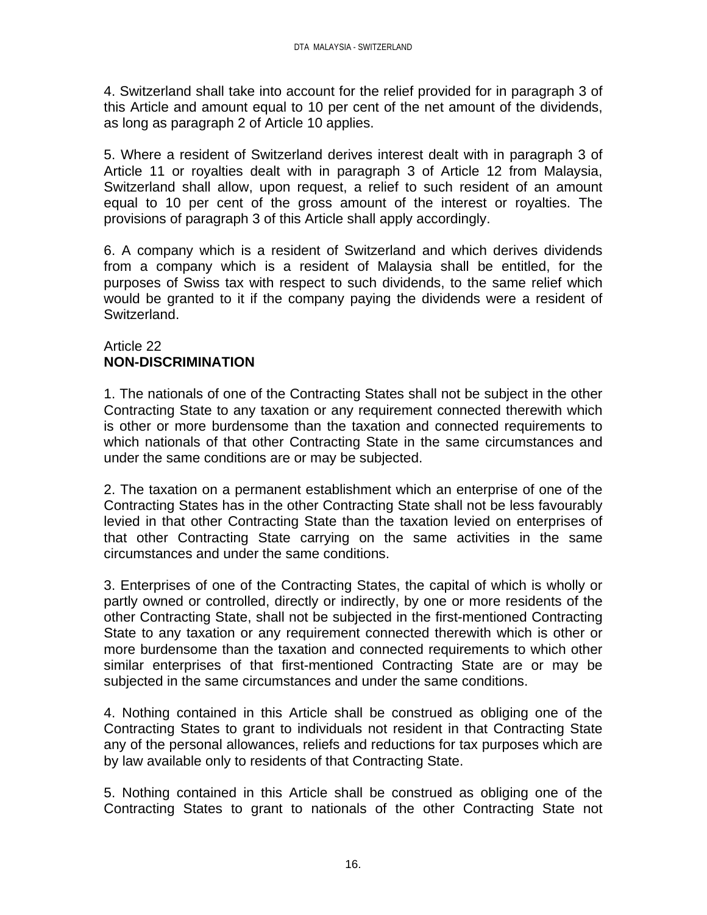4. Switzerland shall take into account for the relief provided for in paragraph 3 of this Article and amount equal to 10 per cent of the net amount of the dividends, as long as paragraph 2 of Article 10 applies.

5. Where a resident of Switzerland derives interest dealt with in paragraph 3 of Article 11 or royalties dealt with in paragraph 3 of Article 12 from Malaysia, Switzerland shall allow, upon request, a relief to such resident of an amount equal to 10 per cent of the gross amount of the interest or royalties. The provisions of paragraph 3 of this Article shall apply accordingly.

6. A company which is a resident of Switzerland and which derives dividends from a company which is a resident of Malaysia shall be entitled, for the purposes of Swiss tax with respect to such dividends, to the same relief which would be granted to it if the company paying the dividends were a resident of Switzerland.

# Article 22 **NON-DISCRIMINATION**

1. The nationals of one of the Contracting States shall not be subject in the other Contracting State to any taxation or any requirement connected therewith which is other or more burdensome than the taxation and connected requirements to which nationals of that other Contracting State in the same circumstances and under the same conditions are or may be subjected.

2. The taxation on a permanent establishment which an enterprise of one of the Contracting States has in the other Contracting State shall not be less favourably levied in that other Contracting State than the taxation levied on enterprises of that other Contracting State carrying on the same activities in the same circumstances and under the same conditions.

3. Enterprises of one of the Contracting States, the capital of which is wholly or partly owned or controlled, directly or indirectly, by one or more residents of the other Contracting State, shall not be subjected in the first-mentioned Contracting State to any taxation or any requirement connected therewith which is other or more burdensome than the taxation and connected requirements to which other similar enterprises of that first-mentioned Contracting State are or may be subjected in the same circumstances and under the same conditions.

4. Nothing contained in this Article shall be construed as obliging one of the Contracting States to grant to individuals not resident in that Contracting State any of the personal allowances, reliefs and reductions for tax purposes which are by law available only to residents of that Contracting State.

5. Nothing contained in this Article shall be construed as obliging one of the Contracting States to grant to nationals of the other Contracting State not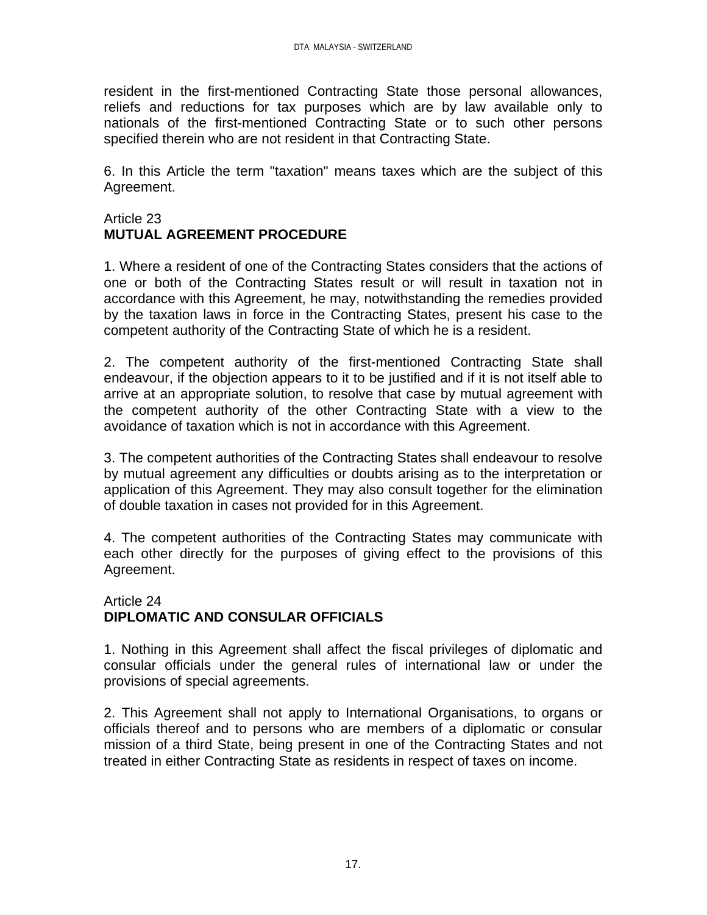resident in the first-mentioned Contracting State those personal allowances, reliefs and reductions for tax purposes which are by law available only to nationals of the first-mentioned Contracting State or to such other persons specified therein who are not resident in that Contracting State.

6. In this Article the term "taxation" means taxes which are the subject of this Agreement.

# Article 23 **MUTUAL AGREEMENT PROCEDURE**

1. Where a resident of one of the Contracting States considers that the actions of one or both of the Contracting States result or will result in taxation not in accordance with this Agreement, he may, notwithstanding the remedies provided by the taxation laws in force in the Contracting States, present his case to the competent authority of the Contracting State of which he is a resident.

2. The competent authority of the first-mentioned Contracting State shall endeavour, if the objection appears to it to be justified and if it is not itself able to arrive at an appropriate solution, to resolve that case by mutual agreement with the competent authority of the other Contracting State with a view to the avoidance of taxation which is not in accordance with this Agreement.

3. The competent authorities of the Contracting States shall endeavour to resolve by mutual agreement any difficulties or doubts arising as to the interpretation or application of this Agreement. They may also consult together for the elimination of double taxation in cases not provided for in this Agreement.

4. The competent authorities of the Contracting States may communicate with each other directly for the purposes of giving effect to the provisions of this Agreement.

# Article 24 **DIPLOMATIC AND CONSULAR OFFICIALS**

1. Nothing in this Agreement shall affect the fiscal privileges of diplomatic and consular officials under the general rules of international law or under the provisions of special agreements.

2. This Agreement shall not apply to International Organisations, to organs or officials thereof and to persons who are members of a diplomatic or consular mission of a third State, being present in one of the Contracting States and not treated in either Contracting State as residents in respect of taxes on income.